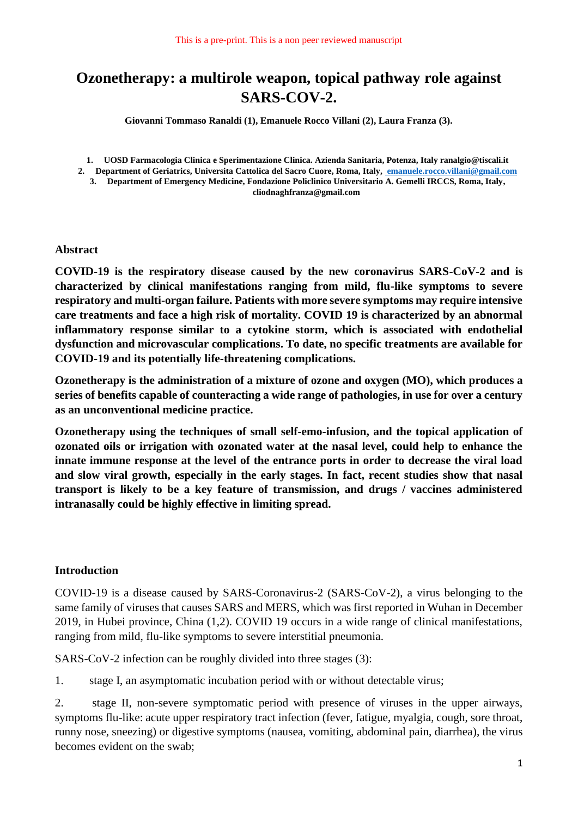# **Ozonetherapy: a multirole weapon, topical pathway role against SARS-COV-2.**

**Giovanni Tommaso Ranaldi (1), Emanuele Rocco Villani (2), Laura Franza (3).**

**1. UOSD Farmacologia Clinica e Sperimentazione Clinica. Azienda Sanitaria, Potenza, Italy ranalgio@tiscali.it**

**2. Department of Geriatrics, Universita Cattolica del Sacro Cuore, Roma, Italy[, emanuele.rocco.villani@gmail.com](mailto:%20emanuele.rocco.villani@gmail.com)**

**3. Department of Emergency Medicine, Fondazione Policlinico Universitario A. Gemelli IRCCS, Roma, Italy, cliodnaghfranza@gmail.com**

#### **Abstract**

**COVID-19 is the respiratory disease caused by the new coronavirus SARS-CoV-2 and is characterized by clinical manifestations ranging from mild, flu-like symptoms to severe respiratory and multi-organ failure. Patients with more severe symptoms may require intensive care treatments and face a high risk of mortality. COVID 19 is characterized by an abnormal inflammatory response similar to a cytokine storm, which is associated with endothelial dysfunction and microvascular complications. To date, no specific treatments are available for COVID-19 and its potentially life-threatening complications.**

**Ozonetherapy is the administration of a mixture of ozone and oxygen (MO), which produces a series of benefits capable of counteracting a wide range of pathologies, in use for over a century as an unconventional medicine practice.**

**Ozonetherapy using the techniques of small self-emo-infusion, and the topical application of ozonated oils or irrigation with ozonated water at the nasal level, could help to enhance the innate immune response at the level of the entrance ports in order to decrease the viral load and slow viral growth, especially in the early stages. In fact, recent studies show that nasal transport is likely to be a key feature of transmission, and drugs / vaccines administered intranasally could be highly effective in limiting spread.**

### **Introduction**

COVID-19 is a disease caused by SARS-Coronavirus-2 (SARS-CoV-2), a virus belonging to the same family of viruses that causes SARS and MERS, which was first reported in Wuhan in December 2019, in Hubei province, China (1,2). COVID 19 occurs in a wide range of clinical manifestations, ranging from mild, flu-like symptoms to severe interstitial pneumonia.

SARS-CoV-2 infection can be roughly divided into three stages (3):

1. stage I, an asymptomatic incubation period with or without detectable virus;

2. stage II, non-severe symptomatic period with presence of viruses in the upper airways, symptoms flu-like: acute upper respiratory tract infection (fever, fatigue, myalgia, cough, sore throat, runny nose, sneezing) or digestive symptoms (nausea, vomiting, abdominal pain, diarrhea), the virus becomes evident on the swab;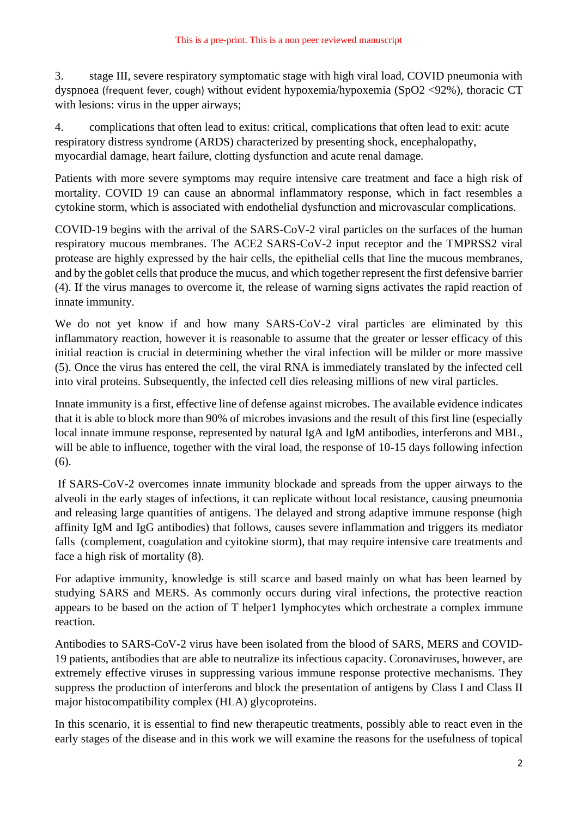3. stage III, severe respiratory symptomatic stage with high viral load, COVID pneumonia with dyspnoea (frequent fever, cough) without evident hypoxemia/hypoxemia (SpO2 <92%), thoracic CT with lesions: virus in the upper airways;

4. complications that often lead to exitus: critical, complications that often lead to exit: acute respiratory distress syndrome (ARDS) characterized by presenting shock, encephalopathy, myocardial damage, heart failure, clotting dysfunction and acute renal damage.

Patients with more severe symptoms may require intensive care treatment and face a high risk of mortality. COVID 19 can cause an abnormal inflammatory response, which in fact resembles a cytokine storm, which is associated with endothelial dysfunction and microvascular complications.

COVID-19 begins with the arrival of the SARS-CoV-2 viral particles on the surfaces of the human respiratory mucous membranes. The ACE2 SARS-CoV-2 input receptor and the TMPRSS2 viral protease are highly expressed by the hair cells, the epithelial cells that line the mucous membranes, and by the goblet cells that produce the mucus, and which together represent the first defensive barrier (4). If the virus manages to overcome it, the release of warning signs activates the rapid reaction of innate immunity.

We do not yet know if and how many SARS-CoV-2 viral particles are eliminated by this inflammatory reaction, however it is reasonable to assume that the greater or lesser efficacy of this initial reaction is crucial in determining whether the viral infection will be milder or more massive (5). Once the virus has entered the cell, the viral RNA is immediately translated by the infected cell into viral proteins. Subsequently, the infected cell dies releasing millions of new viral particles.

Innate immunity is a first, effective line of defense against microbes. The available evidence indicates that it is able to block more than 90% of microbes invasions and the result of this first line (especially local innate immune response, represented by natural IgA and IgM antibodies, interferons and MBL, will be able to influence, together with the viral load, the response of 10-15 days following infection (6).

If SARS-CoV-2 overcomes innate immunity blockade and spreads from the upper airways to the alveoli in the early stages of infections, it can replicate without local resistance, causing pneumonia and releasing large quantities of antigens. The delayed and strong adaptive immune response (high affinity IgM and IgG antibodies) that follows, causes severe inflammation and triggers its mediator falls (complement, coagulation and cyitokine storm), that may require intensive care treatments and face a high risk of mortality (8).

For adaptive immunity, knowledge is still scarce and based mainly on what has been learned by studying SARS and MERS. As commonly occurs during viral infections, the protective reaction appears to be based on the action of T helper1 lymphocytes which orchestrate a complex immune reaction.

Antibodies to SARS-CoV-2 virus have been isolated from the blood of SARS, MERS and COVID-19 patients, antibodies that are able to neutralize its infectious capacity. Coronaviruses, however, are extremely effective viruses in suppressing various immune response protective mechanisms. They suppress the production of interferons and block the presentation of antigens by Class I and Class II major histocompatibility complex (HLA) glycoproteins.

In this scenario, it is essential to find new therapeutic treatments, possibly able to react even in the early stages of the disease and in this work we will examine the reasons for the usefulness of topical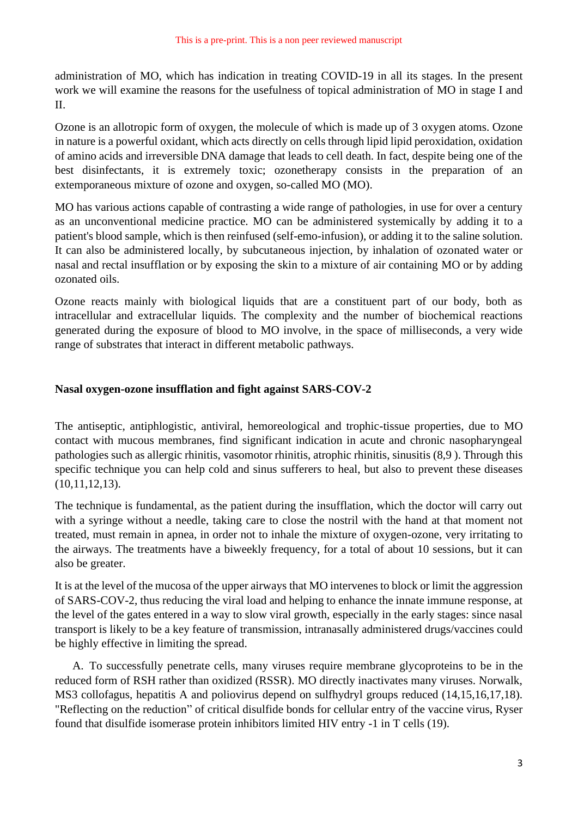administration of MO, which has indication in treating COVID-19 in all its stages. In the present work we will examine the reasons for the usefulness of topical administration of MO in stage I and II.

Ozone is an allotropic form of oxygen, the molecule of which is made up of 3 oxygen atoms. Ozone in nature is a powerful oxidant, which acts directly on cells through lipid lipid peroxidation, oxidation of amino acids and irreversible DNA damage that leads to cell death. In fact, despite being one of the best disinfectants, it is extremely toxic; ozonetherapy consists in the preparation of an extemporaneous mixture of ozone and oxygen, so-called MO (MO).

MO has various actions capable of contrasting a wide range of pathologies, in use for over a century as an unconventional medicine practice. MO can be administered systemically by adding it to a patient's blood sample, which is then reinfused (self-emo-infusion), or adding it to the saline solution. It can also be administered locally, by subcutaneous injection, by inhalation of ozonated water or nasal and rectal insufflation or by exposing the skin to a mixture of air containing MO or by adding ozonated oils.

Ozone reacts mainly with biological liquids that are a constituent part of our body, both as intracellular and extracellular liquids. The complexity and the number of biochemical reactions generated during the exposure of blood to MO involve, in the space of milliseconds, a very wide range of substrates that interact in different metabolic pathways.

## **Nasal oxygen-ozone insufflation and fight against SARS-COV-2**

The antiseptic, antiphlogistic, antiviral, hemoreological and trophic-tissue properties, due to MO contact with mucous membranes, find significant indication in acute and chronic nasopharyngeal pathologies such as allergic rhinitis, vasomotor rhinitis, atrophic rhinitis, sinusitis (8,9 ). Through this specific technique you can help cold and sinus sufferers to heal, but also to prevent these diseases (10,11,12,13).

The technique is fundamental, as the patient during the insufflation, which the doctor will carry out with a syringe without a needle, taking care to close the nostril with the hand at that moment not treated, must remain in apnea, in order not to inhale the mixture of oxygen-ozone, very irritating to the airways. The treatments have a biweekly frequency, for a total of about 10 sessions, but it can also be greater.

It is at the level of the mucosa of the upper airways that MO intervenes to block or limit the aggression of SARS-COV-2, thus reducing the viral load and helping to enhance the innate immune response, at the level of the gates entered in a way to slow viral growth, especially in the early stages: since nasal transport is likely to be a key feature of transmission, intranasally administered drugs/vaccines could be highly effective in limiting the spread.

A. To successfully penetrate cells, many viruses require membrane glycoproteins to be in the reduced form of RSH rather than oxidized (RSSR). MO directly inactivates many viruses. Norwalk, MS3 collofagus, hepatitis A and poliovirus depend on sulfhydryl groups reduced (14,15,16,17,18). "Reflecting on the reduction" of critical disulfide bonds for cellular entry of the vaccine virus, Ryser found that disulfide isomerase protein inhibitors limited HIV entry -1 in T cells (19).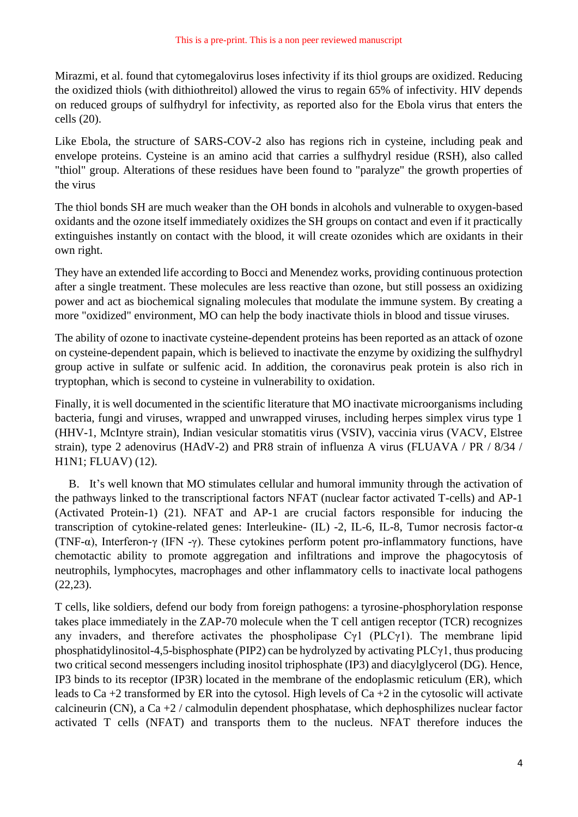Mirazmi, et al. found that cytomegalovirus loses infectivity if its thiol groups are oxidized. Reducing the oxidized thiols (with dithiothreitol) allowed the virus to regain 65% of infectivity. HIV depends on reduced groups of sulfhydryl for infectivity, as reported also for the Ebola virus that enters the cells (20).

Like Ebola, the structure of SARS-COV-2 also has regions rich in cysteine, including peak and envelope proteins. Cysteine is an amino acid that carries a sulfhydryl residue (RSH), also called "thiol" group. Alterations of these residues have been found to "paralyze" the growth properties of the virus

The thiol bonds SH are much weaker than the OH bonds in alcohols and vulnerable to oxygen-based oxidants and the ozone itself immediately oxidizes the SH groups on contact and even if it practically extinguishes instantly on contact with the blood, it will create ozonides which are oxidants in their own right.

They have an extended life according to Bocci and Menendez works, providing continuous protection after a single treatment. These molecules are less reactive than ozone, but still possess an oxidizing power and act as biochemical signaling molecules that modulate the immune system. By creating a more "oxidized" environment, MO can help the body inactivate thiols in blood and tissue viruses.

The ability of ozone to inactivate cysteine-dependent proteins has been reported as an attack of ozone on cysteine-dependent papain, which is believed to inactivate the enzyme by oxidizing the sulfhydryl group active in sulfate or sulfenic acid. In addition, the coronavirus peak protein is also rich in tryptophan, which is second to cysteine in vulnerability to oxidation.

Finally, it is well documented in the scientific literature that MO inactivate microorganisms including bacteria, fungi and viruses, wrapped and unwrapped viruses, including herpes simplex virus type 1 (HHV-1, McIntyre strain), Indian vesicular stomatitis virus (VSIV), vaccinia virus (VACV, Elstree strain), type 2 adenovirus (HAdV-2) and PR8 strain of influenza A virus (FLUAVA / PR / 8/34 / H1N1; FLUAV) (12).

B. It's well known that MO stimulates cellular and humoral immunity through the activation of the pathways linked to the transcriptional factors NFAT (nuclear factor activated T-cells) and AP-1 (Activated Protein-1) (21). NFAT and AP-1 are crucial factors responsible for inducing the transcription of cytokine-related genes: Interleukine- (IL) -2, IL-6, IL-8, Tumor necrosis factor-α (TNF- $\alpha$ ), Interferon-γ (IFN -γ). These cytokines perform potent pro-inflammatory functions, have chemotactic ability to promote aggregation and infiltrations and improve the phagocytosis of neutrophils, lymphocytes, macrophages and other inflammatory cells to inactivate local pathogens (22,23).

T cells, like soldiers, defend our body from foreign pathogens: a tyrosine-phosphorylation response takes place immediately in the ZAP-70 molecule when the T cell antigen receptor (TCR) recognizes any invaders, and therefore activates the phospholipase  $C_{\gamma}$ 1 (PLC<sub>γ</sub>1). The membrane lipid phosphatidylinositol-4,5-bisphosphate (PIP2) can be hydrolyzed by activating PLCγ1, thus producing two critical second messengers including inositol triphosphate (IP3) and diacylglycerol (DG). Hence, IP3 binds to its receptor (IP3R) located in the membrane of the endoplasmic reticulum (ER), which leads to Ca +2 transformed by ER into the cytosol. High levels of Ca +2 in the cytosolic will activate calcineurin (CN), a Ca  $+2$  / calmodulin dependent phosphatase, which dephosphilizes nuclear factor activated T cells (NFAT) and transports them to the nucleus. NFAT therefore induces the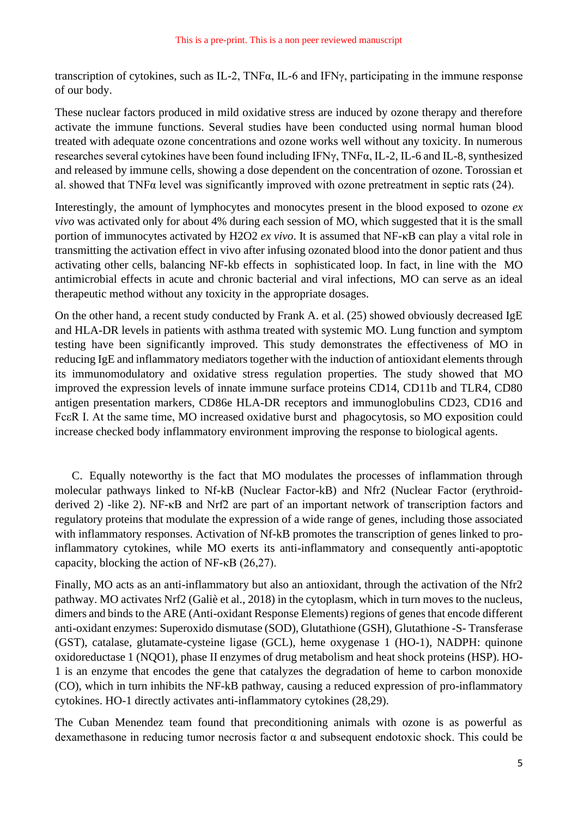transcription of cytokines, such as IL-2, TNFα, IL-6 and IFNγ, participating in the immune response of our body.

These nuclear factors produced in mild oxidative stress are induced by ozone therapy and therefore activate the immune functions. Several studies have been conducted using normal human blood treated with adequate ozone concentrations and ozone works well without any toxicity. In numerous researches several cytokines have been found including IFNγ, TNFα, IL-2, IL-6 and IL-8, synthesized and released by immune cells, showing a dose dependent on the concentration of ozone. Torossian et al. showed that TNFα level was significantly improved with ozone pretreatment in septic rats (24).

Interestingly, the amount of lymphocytes and monocytes present in the blood exposed to ozone  $ex$ *vivo* was activated only for about 4% during each session of MO, which suggested that it is the small portion of immunocytes activated by H2O2 *ex vivo*. It is assumed that NF-κB can play a vital role in transmitting the activation effect in vivo after infusing ozonated blood into the donor patient and thus activating other cells, balancing NF-kb effects in sophisticated loop. In fact, in line with the MO antimicrobial effects in acute and chronic bacterial and viral infections, MO can serve as an ideal therapeutic method without any toxicity in the appropriate dosages.

On the other hand, a recent study conducted by Frank A. et al. (25) showed obviously decreased IgE and HLA-DR levels in patients with asthma treated with systemic MO. Lung function and symptom testing have been significantly improved. This study demonstrates the effectiveness of MO in reducing IgE and inflammatory mediators together with the induction of antioxidant elements through its immunomodulatory and oxidative stress regulation properties. The study showed that MO improved the expression levels of innate immune surface proteins CD14, CD11b and TLR4, CD80 antigen presentation markers, CD86e HLA-DR receptors and immunoglobulins CD23, CD16 and FcεR I. At the same time, MO increased oxidative burst and phagocytosis, so MO exposition could increase checked body inflammatory environment improving the response to biological agents.

C. Equally noteworthy is the fact that MO modulates the processes of inflammation through molecular pathways linked to Nf-kB (Nuclear Factor-kB) and Nfr2 (Nuclear Factor (erythroidderived 2) -like 2). NF-κB and Nrf2 are part of an important network of transcription factors and regulatory proteins that modulate the expression of a wide range of genes, including those associated with inflammatory responses. Activation of Nf-kB promotes the transcription of genes linked to proinflammatory cytokines, while MO exerts its anti-inflammatory and consequently anti-apoptotic capacity, blocking the action of NF-κB (26,27).

Finally, MO acts as an anti-inflammatory but also an antioxidant, through the activation of the Nfr2 pathway. MO activates Nrf2 (Galiè et al., 2018) in the cytoplasm, which in turn moves to the nucleus, dimers and binds to the ARE (Anti-oxidant Response Elements) regions of genes that encode different anti-oxidant enzymes: Superoxido dismutase (SOD), Glutathione (GSH), Glutathione -S- Transferase (GST), catalase, glutamate-cysteine ligase (GCL), heme oxygenase 1 (HO-1), NADPH: quinone oxidoreductase 1 (NQO1), phase II enzymes of drug metabolism and heat shock proteins (HSP). HO-1 is an enzyme that encodes the gene that catalyzes the degradation of heme to carbon monoxide (CO), which in turn inhibits the NF-kB pathway, causing a reduced expression of pro-inflammatory cytokines. HO-1 directly activates anti-inflammatory cytokines (28,29).

The Cuban Menendez team found that preconditioning animals with ozone is as powerful as dexamethasone in reducing tumor necrosis factor α and subsequent endotoxic shock. This could be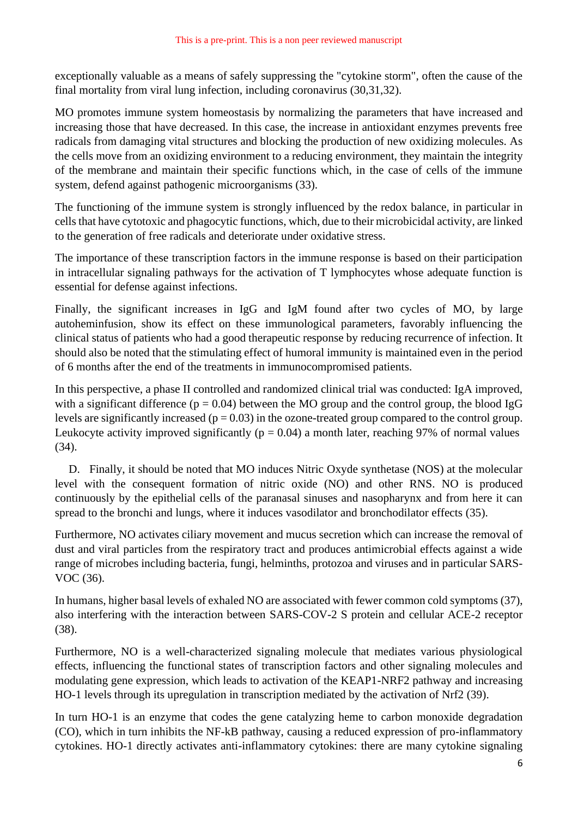exceptionally valuable as a means of safely suppressing the "cytokine storm", often the cause of the final mortality from viral lung infection, including coronavirus (30,31,32).

MO promotes immune system homeostasis by normalizing the parameters that have increased and increasing those that have decreased. In this case, the increase in antioxidant enzymes prevents free radicals from damaging vital structures and blocking the production of new oxidizing molecules. As the cells move from an oxidizing environment to a reducing environment, they maintain the integrity of the membrane and maintain their specific functions which, in the case of cells of the immune system, defend against pathogenic microorganisms (33).

The functioning of the immune system is strongly influenced by the redox balance, in particular in cells that have cytotoxic and phagocytic functions, which, due to their microbicidal activity, are linked to the generation of free radicals and deteriorate under oxidative stress.

The importance of these transcription factors in the immune response is based on their participation in intracellular signaling pathways for the activation of T lymphocytes whose adequate function is essential for defense against infections.

Finally, the significant increases in IgG and IgM found after two cycles of MO, by large autoheminfusion, show its effect on these immunological parameters, favorably influencing the clinical status of patients who had a good therapeutic response by reducing recurrence of infection. It should also be noted that the stimulating effect of humoral immunity is maintained even in the period of 6 months after the end of the treatments in immunocompromised patients.

In this perspective, a phase II controlled and randomized clinical trial was conducted: IgA improved, with a significant difference ( $p = 0.04$ ) between the MO group and the control group, the blood IgG levels are significantly increased ( $p = 0.03$ ) in the ozone-treated group compared to the control group. Leukocyte activity improved significantly ( $p = 0.04$ ) a month later, reaching 97% of normal values (34).

D. Finally, it should be noted that MO induces Nitric Oxyde synthetase (NOS) at the molecular level with the consequent formation of nitric oxide (NO) and other RNS. NO is produced continuously by the epithelial cells of the paranasal sinuses and nasopharynx and from here it can spread to the bronchi and lungs, where it induces vasodilator and bronchodilator effects (35).

Furthermore, NO activates ciliary movement and mucus secretion which can increase the removal of dust and viral particles from the respiratory tract and produces antimicrobial effects against a wide range of microbes including bacteria, fungi, helminths, protozoa and viruses and in particular SARS-VOC (36).

In humans, higher basal levels of exhaled NO are associated with fewer common cold symptoms (37), also interfering with the interaction between SARS-COV-2 S protein and cellular ACE-2 receptor (38).

Furthermore, NO is a well-characterized signaling molecule that mediates various physiological effects, influencing the functional states of transcription factors and other signaling molecules and modulating gene expression, which leads to activation of the KEAP1-NRF2 pathway and increasing HO-1 levels through its [upregulation](https://biblioproxy.cnr.it:2114/topics/biochemistry-genetics-and-molecular-biology/upregulation) in transcription mediated by the activation of Nrf2 (39).

In turn HO-1 is an enzyme that codes the gene catalyzing heme to carbon monoxide degradation (CO), which in turn inhibits the NF-kB pathway, causing a reduced expression of pro-inflammatory cytokines. HO-1 directly activates anti-inflammatory cytokines: there are many cytokine signaling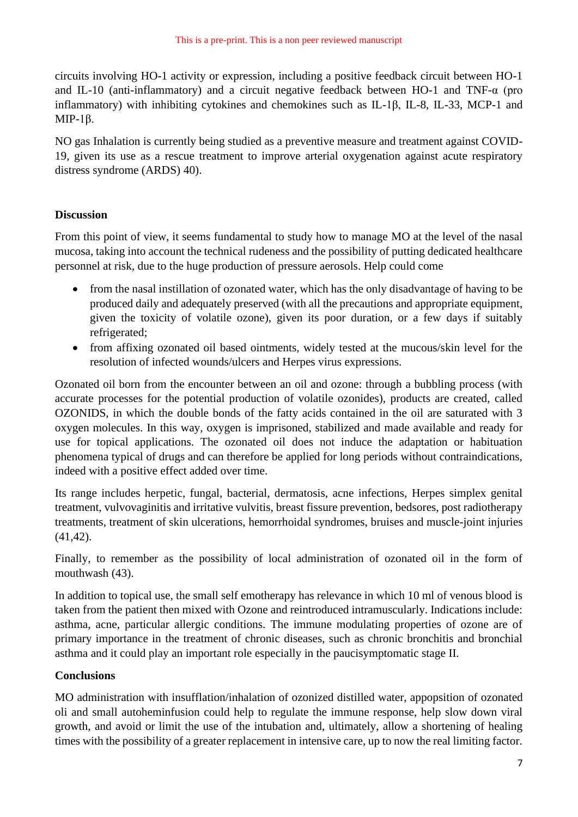circuits involving HO-1 activity or expression, including a positive feedback circuit between HO-1 and IL-10 (anti-inflammatory) and a circuit negative feedback between HO-1 and TNF-α (pro inflammatory) with inhibiting cytokines and chemokines such as IL-1β, IL-8, IL-33, MCP-1 and MIP-1β.

NO gas Inhalation is currently being studied as a preventive measure and treatment against COVID-19, given its use as a rescue treatment to improve arterial oxygenation against acute respiratory distress syndrome (ARDS) 40).

# **Discussion**

From this point of view, it seems fundamental to study how to manage MO at the level of the nasal mucosa, taking into account the technical rudeness and the possibility of putting dedicated healthcare personnel at risk, due to the huge production of pressure aerosols. Help could come

- from the nasal instillation of ozonated water, which has the only disadvantage of having to be produced daily and adequately preserved (with all the precautions and appropriate equipment, given the toxicity of volatile ozone), given its poor duration, or a few days if suitably refrigerated;
- from affixing ozonated oil based ointments, widely tested at the mucous/skin level for the resolution of infected wounds/ulcers and Herpes virus expressions.

Ozonated oil born from the encounter between an oil and ozone: through a bubbling process (with accurate processes for the potential production of volatile ozonides), products are created, called OZONIDS, in which the double bonds of the fatty acids contained in the oil are saturated with 3 oxygen molecules. In this way, oxygen is imprisoned, stabilized and made available and ready for use for topical applications. The ozonated oil does not induce the adaptation or habituation phenomena typical of drugs and can therefore be applied for long periods without contraindications, indeed with a positive effect added over time.

Its range includes herpetic, fungal, bacterial, dermatosis, acne infections, Herpes simplex genital treatment, vulvovaginitis and irritative vulvitis, breast fissure prevention, bedsores, post radiotherapy treatments, treatment of skin ulcerations, hemorrhoidal syndromes, bruises and muscle-joint injuries (41,42).

Finally, to remember as the possibility of local administration of ozonated oil in the form of mouthwash (43).

In addition to topical use, the small self emotherapy has relevance in which 10 ml of venous blood is taken from the patient then mixed with Ozone and reintroduced intramuscularly. Indications include: asthma, acne, particular allergic conditions. The immune modulating properties of ozone are of primary importance in the treatment of chronic diseases, such as chronic bronchitis and bronchial asthma and it could play an important role especially in the paucisymptomatic stage II.

## **Conclusions**

MO administration with insufflation/inhalation of ozonized distilled water, appopsition of ozonated oli and small autoheminfusion could help to regulate the immune response, help slow down viral growth, and avoid or limit the use of the intubation and, ultimately, allow a shortening of healing times with the possibility of a greater replacement in intensive care, up to now the real limiting factor.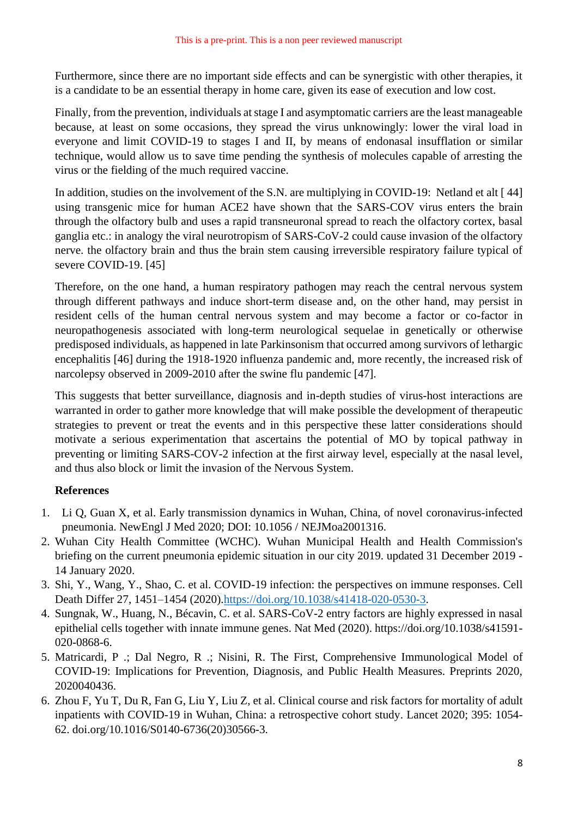Furthermore, since there are no important side effects and can be synergistic with other therapies, it is a candidate to be an essential therapy in home care, given its ease of execution and low cost.

Finally, from the prevention, individuals at stage I and asymptomatic carriers are the least manageable because, at least on some occasions, they spread the virus unknowingly: lower the viral load in everyone and limit COVID-19 to stages I and II, by means of endonasal insufflation or similar technique, would allow us to save time pending the synthesis of molecules capable of arresting the virus or the fielding of the much required vaccine.

In addition, studies on the involvement of the S.N. are multiplying in COVID-19: Netland et alt [44] using transgenic mice for human ACE2 have shown that the SARS-COV virus enters the brain through the olfactory bulb and uses a rapid transneuronal spread to reach the olfactory cortex, basal ganglia etc.: in analogy the viral neurotropism of SARS-CoV-2 could cause invasion of the olfactory nerve. the olfactory brain and thus the brain stem causing irreversible respiratory failure typical of severe COVID-19. [45]

Therefore, on the one hand, a human respiratory pathogen may reach the central nervous system through different pathways and induce short-term disease and, on the other hand, may persist in resident cells of the human central nervous system and may become a factor or co-factor in neuropathogenesis associated with long-term neurological sequelae in genetically or otherwise predisposed individuals, as happened in late Parkinsonism that occurred among survivors of lethargic encephalitis [46] during the 1918-1920 influenza pandemic and, more recently, the increased risk of narcolepsy observed in 2009-2010 after the swine flu pandemic [47].

This suggests that better surveillance, diagnosis and in-depth studies of virus-host interactions are warranted in order to gather more knowledge that will make possible the development of therapeutic strategies to prevent or treat the events and in this perspective these latter considerations should motivate a serious experimentation that ascertains the potential of MO by topical pathway in preventing or limiting SARS-COV-2 infection at the first airway level, especially at the nasal level, and thus also block or limit the invasion of the Nervous System.

## **References**

- 1. Li Q, Guan X, et al. Early transmission dynamics in Wuhan, China, of novel coronavirus-infected pneumonia. NewEngl J Med 2020; DOI: 10.1056 / NEJMoa2001316.
- 2. Wuhan City Health Committee (WCHC). Wuhan Municipal Health and Health Commission's briefing on the current pneumonia epidemic situation in our city 2019. updated 31 December 2019 - 14 January 2020.
- 3. Shi, Y., Wang, Y., Shao, C. et al. COVID-19 infection: the perspectives on immune responses. Cell Death Differ 27, 1451–1454 (2020)[.https://doi.org/10.1038/s41418-020-0530-3.](https://doi.org/10.1038/s41418-020-0530-3)
- 4. Sungnak, W., Huang, N., Bécavin, C. et al. SARS-CoV-2 entry factors are highly expressed in nasal epithelial cells together with innate immune genes. Nat Med (2020). https://doi.org/10.1038/s41591- 020-0868-6.
- 5. Matricardi, P .; Dal Negro, R .; Nisini, R. The First, Comprehensive Immunological Model of COVID-19: Implications for Prevention, Diagnosis, and Public Health Measures. Preprints 2020, 2020040436.
- 6. Zhou F, Yu T, Du R, Fan G, Liu Y, Liu Z, et al. Clinical course and risk factors for mortality of adult inpatients with COVID-19 in Wuhan, China: a retrospective cohort study. Lancet 2020; 395: 1054- 62. doi.org/10.1016/S0140-6736(20)30566-3.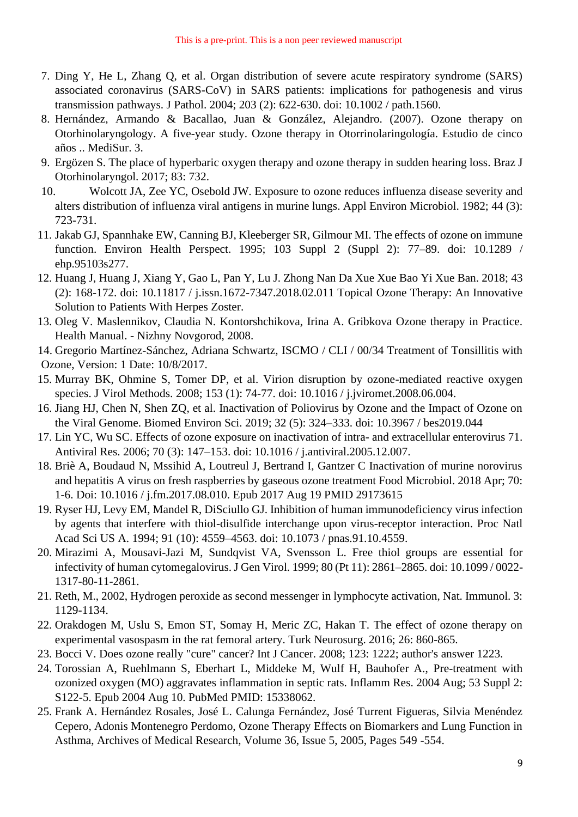- 7. Ding Y, He L, Zhang Q, et al. Organ distribution of severe acute respiratory syndrome (SARS) associated coronavirus (SARS-CoV) in SARS patients: implications for pathogenesis and virus transmission pathways. J Pathol. 2004; 203 (2): 622-630. doi: 10.1002 / path.1560.
- 8. Hernández, Armando & Bacallao, Juan & González, Alejandro. (2007). Ozone therapy on Otorhinolaryngology. A five-year study. Ozone therapy in Otorrinolaringología. Estudio de cinco años .. MediSur. 3.
- 9. Ergözen S. The place of hyperbaric oxygen therapy and ozone therapy in sudden hearing loss. Braz J Otorhinolaryngol. 2017; 83: 732.
- 10. Wolcott JA, Zee YC, Osebold JW. Exposure to ozone reduces influenza disease severity and alters distribution of influenza viral antigens in murine lungs. Appl Environ Microbiol. 1982; 44 (3): 723-731.
- 11. Jakab GJ, Spannhake EW, Canning BJ, Kleeberger SR, Gilmour MI. The effects of ozone on immune function. Environ Health Perspect. 1995; 103 Suppl 2 (Suppl 2): 77–89. doi: 10.1289 / ehp.95103s277.
- 12. Huang J, Huang J, Xiang Y, Gao L, Pan Y, Lu J. Zhong Nan Da Xue Xue Bao Yi Xue Ban. 2018; 43 (2): 168-172. doi: 10.11817 / j.issn.1672-7347.2018.02.011 Topical Ozone Therapy: An Innovative Solution to Patients With Herpes Zoster.
- 13. Oleg V. Maslennikov, Claudia N. Kontorshchikova, Irina A. Gribkova Ozone therapy in Practice. Health Manual. - Nizhny Novgorod, 2008.
- 14. Gregorio Martínez-Sánchez, Adriana Schwartz, ISCMO / CLI / 00/34 Treatment of Tonsillitis with Ozone, Version: 1 Date: 10/8/2017.
- 15. Murray BK, Ohmine S, Tomer DP, et al. Virion disruption by ozone-mediated reactive oxygen species. J Virol Methods. 2008; 153 (1): 74-77. doi: 10.1016 / j.jviromet.2008.06.004.
- 16. Jiang HJ, Chen N, Shen ZQ, et al. Inactivation of Poliovirus by Ozone and the Impact of Ozone on the Viral Genome. Biomed Environ Sci. 2019; 32 (5): 324–333. doi: 10.3967 / bes2019.044
- 17. Lin YC, Wu SC. Effects of ozone exposure on inactivation of intra- and extracellular enterovirus 71. Antiviral Res. 2006; 70 (3): 147–153. doi: 10.1016 / j.antiviral.2005.12.007.
- 18. Briè A, Boudaud N, Mssihid A, Loutreul J, Bertrand I, Gantzer C Inactivation of murine norovirus and hepatitis A virus on fresh raspberries by gaseous ozone treatment Food Microbiol. 2018 Apr; 70: 1-6. Doi: 10.1016 / j.fm.2017.08.010. Epub 2017 Aug 19 PMID 29173615
- 19. Ryser HJ, Levy EM, Mandel R, DiSciullo GJ. Inhibition of human immunodeficiency virus infection by agents that interfere with thiol-disulfide interchange upon virus-receptor interaction. Proc Natl Acad Sci US A. 1994; 91 (10): 4559–4563. doi: 10.1073 / pnas.91.10.4559.
- 20. Mirazimi A, Mousavi-Jazi M, Sundqvist VA, Svensson L. Free thiol groups are essential for infectivity of human cytomegalovirus. J Gen Virol. 1999; 80 (Pt 11): 2861–2865. doi: 10.1099 / 0022- 1317-80-11-2861.
- 21. Reth, M., 2002, Hydrogen peroxide as second messenger in lymphocyte activation, Nat. Immunol. 3: 1129-1134.
- 22. Orakdogen M, Uslu S, Emon ST, Somay H, Meric ZC, Hakan T. The effect of ozone therapy on experimental vasospasm in the rat femoral artery. Turk Neurosurg. 2016; 26: 860-865.
- 23. Bocci V. Does ozone really "cure" cancer? Int J Cancer. 2008; 123: 1222; author's answer 1223.
- 24. Torossian A, Ruehlmann S, Eberhart L, Middeke M, Wulf H, Bauhofer A., Pre-treatment with ozonized oxygen (MO) aggravates inflammation in septic rats. Inflamm Res. 2004 Aug; 53 Suppl 2: S122-5. Epub 2004 Aug 10. PubMed PMID: 15338062.
- 25. Frank A. Hernández Rosales, José L. Calunga Fernández, José Turrent Figueras, Silvia Menéndez Cepero, Adonis Montenegro Perdomo, Ozone Therapy Effects on Biomarkers and Lung Function in Asthma, Archives of Medical Research, Volume 36, Issue 5, 2005, Pages 549 -554.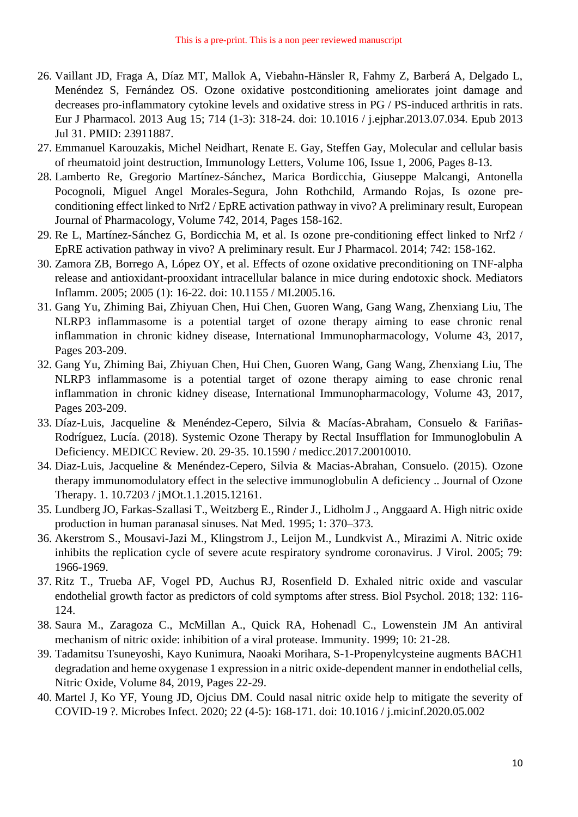- 26. Vaillant JD, Fraga A, Díaz MT, Mallok A, Viebahn-Hänsler R, Fahmy Z, Barberá A, Delgado L, Menéndez S, Fernández OS. Ozone oxidative postconditioning ameliorates joint damage and decreases pro-inflammatory cytokine levels and oxidative stress in PG / PS-induced arthritis in rats. Eur J Pharmacol. 2013 Aug 15; 714 (1-3): 318-24. doi: 10.1016 / j.ejphar.2013.07.034. Epub 2013 Jul 31. PMID: 23911887.
- 27. Emmanuel Karouzakis, Michel Neidhart, Renate E. Gay, Steffen Gay, Molecular and cellular basis of rheumatoid joint destruction, Immunology Letters, Volume 106, Issue 1, 2006, Pages 8-13.
- 28. Lamberto Re, Gregorio Martínez-Sánchez, Marica Bordicchia, Giuseppe Malcangi, Antonella Pocognoli, Miguel Angel Morales-Segura, John Rothchild, Armando Rojas, Is ozone preconditioning effect linked to Nrf2 / EpRE activation pathway in vivo? A preliminary result, European Journal of Pharmacology, Volume 742, 2014, Pages 158-162.
- 29. Re L, Martínez-Sánchez G, Bordicchia M, et al. Is ozone pre-conditioning effect linked to Nrf2 / EpRE activation pathway in vivo? A preliminary result. Eur J Pharmacol. 2014; 742: 158-162.
- 30. Zamora ZB, Borrego A, López OY, et al. Effects of ozone oxidative preconditioning on TNF-alpha release and antioxidant-prooxidant intracellular balance in mice during endotoxic shock. Mediators Inflamm. 2005; 2005 (1): 16-22. doi: 10.1155 / MI.2005.16.
- 31. Gang Yu, Zhiming Bai, Zhiyuan Chen, Hui Chen, Guoren Wang, Gang Wang, Zhenxiang Liu, The NLRP3 inflammasome is a potential target of ozone therapy aiming to ease chronic renal inflammation in chronic kidney disease, International Immunopharmacology, Volume 43, 2017, Pages 203-209.
- 32. Gang Yu, Zhiming Bai, Zhiyuan Chen, Hui Chen, Guoren Wang, Gang Wang, Zhenxiang Liu, The NLRP3 inflammasome is a potential target of ozone therapy aiming to ease chronic renal inflammation in chronic kidney disease, International Immunopharmacology, Volume 43, 2017, Pages 203-209.
- 33. Díaz-Luis, Jacqueline & Menéndez-Cepero, Silvia & Macías-Abraham, Consuelo & Fariñas-Rodríguez, Lucía. (2018). Systemic Ozone Therapy by Rectal Insufflation for Immunoglobulin A Deficiency. MEDICC Review. 20. 29-35. 10.1590 / medicc.2017.20010010.
- 34. Diaz-Luis, Jacqueline & Menéndez-Cepero, Silvia & Macias-Abrahan, Consuelo. (2015). Ozone therapy immunomodulatory effect in the selective immunoglobulin A deficiency .. Journal of Ozone Therapy. 1. 10.7203 / jMOt.1.1.2015.12161.
- 35. Lundberg JO, Farkas-Szallasi T., Weitzberg E., Rinder J., Lidholm J ., Anggaard A. High nitric oxide production in human paranasal sinuses. Nat Med. 1995; 1: 370–373.
- 36. Akerstrom S., Mousavi-Jazi M., Klingstrom J., Leijon M., Lundkvist A., Mirazimi A. Nitric oxide inhibits the replication cycle of severe acute respiratory syndrome coronavirus. J Virol. 2005; 79: 1966-1969.
- 37. Ritz T., Trueba AF, Vogel PD, Auchus RJ, Rosenfield D. Exhaled nitric oxide and vascular endothelial growth factor as predictors of cold symptoms after stress. Biol Psychol. 2018; 132: 116- 124.
- 38. Saura M., Zaragoza C., McMillan A., Quick RA, Hohenadl C., Lowenstein JM An antiviral mechanism of nitric oxide: inhibition of a viral protease. Immunity. 1999; 10: 21-28.
- 39. Tadamitsu Tsuneyoshi, Kayo Kunimura, Naoaki Morihara, S-1-Propenylcysteine augments BACH1 degradation and heme oxygenase 1 expression in a nitric oxide-dependent manner in endothelial cells, Nitric Oxide, Volume 84, 2019, Pages 22-29.
- 40. Martel J, Ko YF, Young JD, Ojcius DM. Could nasal nitric oxide help to mitigate the severity of COVID-19 ?. Microbes Infect. 2020; 22 (4-5): 168-171. doi: 10.1016 / j.micinf.2020.05.002